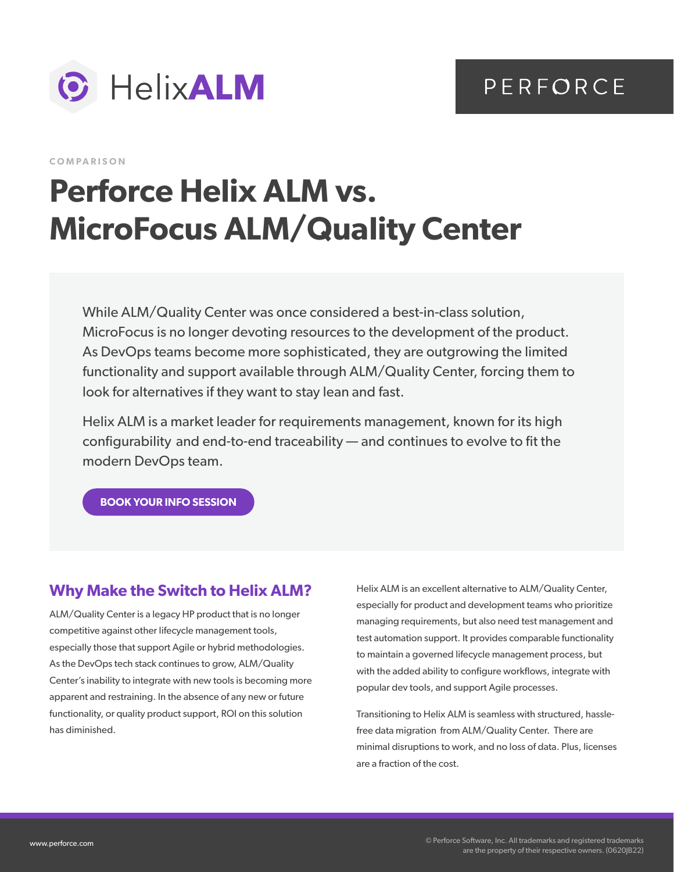



**COMPARISON**

# **Perforce Helix ALM vs. MicroFocus ALM/Quality Center**

While ALM/Quality Center was once considered a best-in-class solution, MicroFocus is no longer devoting resources to the development of the product. As DevOps teams become more sophisticated, they are outgrowing the limited functionality and support available through ALM/Quality Center, forcing them to look for alternatives if they want to stay lean and fast.

Helix ALM is a market leader for requirements management, known for its high configurability and end-to-end traceability — and continues to evolve to fit the modern DevOps team.

**[BOOK YOUR INFO SESSION](https://www.perforce.com/contact-us)**

### **Why Make the Switch to Helix ALM?**

ALM/Quality Center is a legacy HP product that is no longer competitive against other lifecycle management tools, especially those that support Agile or hybrid methodologies. As the DevOps tech stack continues to grow, ALM/Quality Center's inability to integrate with new tools is becoming more apparent and restraining. In the absence of any new or future functionality, or quality product support, ROI on this solution has diminished.

Helix ALM is an excellent alternative to ALM/Quality Center, especially for product and development teams who prioritize managing requirements, but also need test management and test automation support. It provides comparable functionality to maintain a governed lifecycle management process, but with the added ability to configure workflows, integrate with popular dev tools, and support Agile processes.

Transitioning to Helix ALM is seamless with structured, hasslefree data migration from ALM/Quality Center. There are minimal disruptions to work, and no loss of data. Plus, licenses are a fraction of the cost.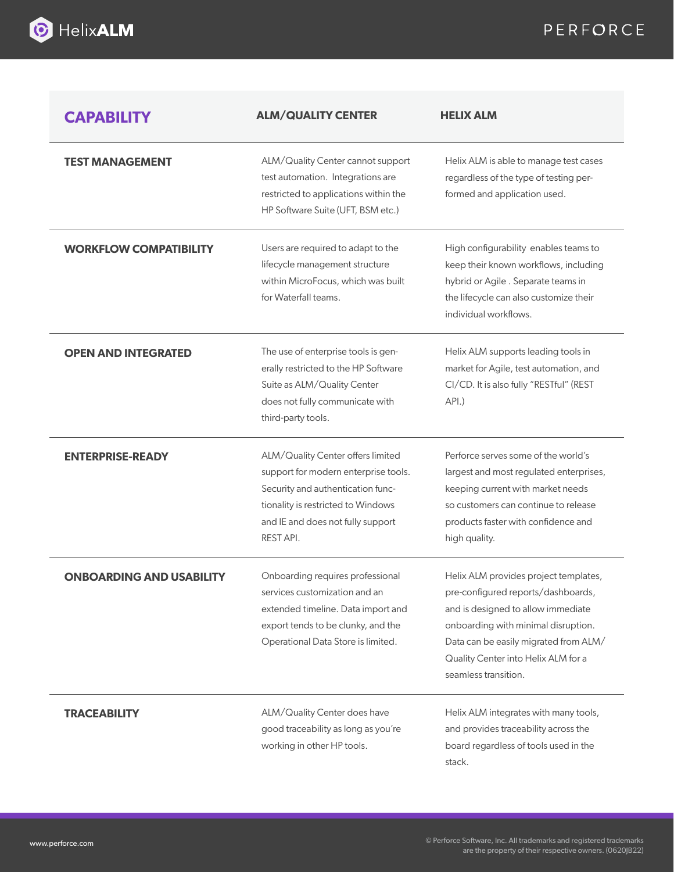

# PERFORCE

| <b>CAPABILITY</b>               | <b>ALM/QUALITY CENTER</b>                                                                                                                                                                              | <b>HELIX ALM</b>                                                                                                                                                                                                                                                 |
|---------------------------------|--------------------------------------------------------------------------------------------------------------------------------------------------------------------------------------------------------|------------------------------------------------------------------------------------------------------------------------------------------------------------------------------------------------------------------------------------------------------------------|
| <b>TEST MANAGEMENT</b>          | ALM/Quality Center cannot support<br>test automation. Integrations are<br>restricted to applications within the<br>HP Software Suite (UFT, BSM etc.)                                                   | Helix ALM is able to manage test cases<br>regardless of the type of testing per-<br>formed and application used.                                                                                                                                                 |
| <b>WORKFLOW COMPATIBILITY</b>   | Users are required to adapt to the<br>lifecycle management structure<br>within MicroFocus, which was built<br>for Waterfall teams.                                                                     | High configurability enables teams to<br>keep their known workflows, including<br>hybrid or Agile . Separate teams in<br>the lifecycle can also customize their<br>individual workflows.                                                                         |
| <b>OPEN AND INTEGRATED</b>      | The use of enterprise tools is gen-<br>erally restricted to the HP Software<br>Suite as ALM/Quality Center<br>does not fully communicate with<br>third-party tools.                                    | Helix ALM supports leading tools in<br>market for Agile, test automation, and<br>CI/CD. It is also fully "RESTful" (REST<br>API.)                                                                                                                                |
| <b>ENTERPRISE-READY</b>         | ALM/Quality Center offers limited<br>support for modern enterprise tools.<br>Security and authentication func-<br>tionality is restricted to Windows<br>and IE and does not fully support<br>REST API. | Perforce serves some of the world's<br>largest and most regulated enterprises,<br>keeping current with market needs<br>so customers can continue to release<br>products faster with confidence and<br>high quality.                                              |
| <b>ONBOARDING AND USABILITY</b> | Onboarding requires professional<br>services customization and an<br>extended timeline. Data import and<br>export tends to be clunky, and the<br>Operational Data Store is limited.                    | Helix ALM provides project templates,<br>pre-configured reports/dashboards,<br>and is designed to allow immediate<br>onboarding with minimal disruption.<br>Data can be easily migrated from ALM/<br>Quality Center into Helix ALM for a<br>seamless transition. |
| <b>TRACEABILITY</b>             | ALM/Quality Center does have<br>good traceability as long as you're<br>working in other HP tools.                                                                                                      | Helix ALM integrates with many tools,<br>and provides traceability across the<br>board regardless of tools used in the<br>stack.                                                                                                                                 |